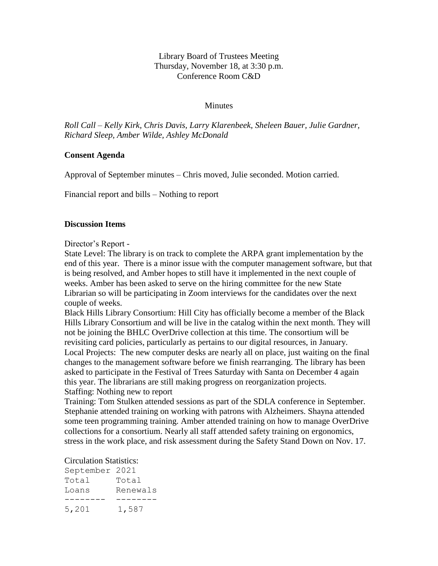Library Board of Trustees Meeting Thursday, November 18, at 3:30 p.m. Conference Room C&D

# **Minutes**

*Roll Call – Kelly Kirk, Chris Davis, Larry Klarenbeek, Sheleen Bauer, Julie Gardner, Richard Sleep, Amber Wilde, Ashley McDonald*

# **Consent Agenda**

Approval of September minutes – Chris moved, Julie seconded. Motion carried.

Financial report and bills – Nothing to report

# **Discussion Items**

Director's Report -

State Level: The library is on track to complete the ARPA grant implementation by the end of this year. There is a minor issue with the computer management software, but that is being resolved, and Amber hopes to still have it implemented in the next couple of weeks. Amber has been asked to serve on the hiring committee for the new State Librarian so will be participating in Zoom interviews for the candidates over the next couple of weeks.

Black Hills Library Consortium: Hill City has officially become a member of the Black Hills Library Consortium and will be live in the catalog within the next month. They will not be joining the BHLC OverDrive collection at this time. The consortium will be revisiting card policies, particularly as pertains to our digital resources, in January. Local Projects: The new computer desks are nearly all on place, just waiting on the final changes to the management software before we finish rearranging. The library has been asked to participate in the Festival of Trees Saturday with Santa on December 4 again this year. The librarians are still making progress on reorganization projects. Staffing: Nothing new to report

Training: Tom Stulken attended sessions as part of the SDLA conference in September. Stephanie attended training on working with patrons with Alzheimers. Shayna attended some teen programming training. Amber attended training on how to manage OverDrive collections for a consortium. Nearly all staff attended safety training on ergonomics, stress in the work place, and risk assessment during the Safety Stand Down on Nov. 17.

### Circulation Statistics:

| September 2021 |          |
|----------------|----------|
| Total          | Total    |
| Loans          | Renewals |
|                |          |
| 5,201          | 1,587    |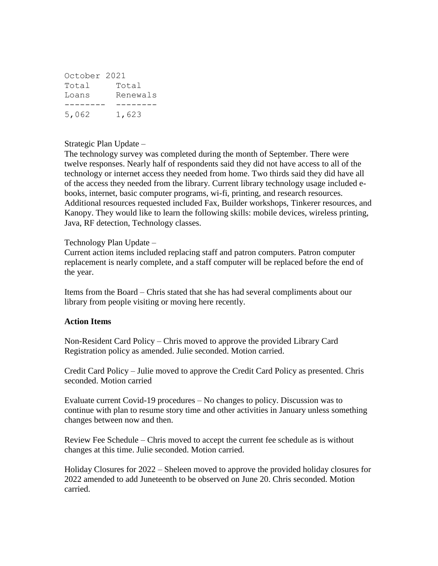| October 2021 |          |
|--------------|----------|
| Total        | Total    |
| Loans        | Renewals |
|              |          |
| 5,062        | 1,623    |

# Strategic Plan Update –

The technology survey was completed during the month of September. There were twelve responses. Nearly half of respondents said they did not have access to all of the technology or internet access they needed from home. Two thirds said they did have all of the access they needed from the library. Current library technology usage included ebooks, internet, basic computer programs, wi-fi, printing, and research resources. Additional resources requested included Fax, Builder workshops, Tinkerer resources, and Kanopy. They would like to learn the following skills: mobile devices, wireless printing, Java, RF detection, Technology classes.

Technology Plan Update –

Current action items included replacing staff and patron computers. Patron computer replacement is nearly complete, and a staff computer will be replaced before the end of the year.

Items from the Board – Chris stated that she has had several compliments about our library from people visiting or moving here recently.

# **Action Items**

Non-Resident Card Policy – Chris moved to approve the provided Library Card Registration policy as amended. Julie seconded. Motion carried.

Credit Card Policy – Julie moved to approve the Credit Card Policy as presented. Chris seconded. Motion carried

Evaluate current Covid-19 procedures – No changes to policy. Discussion was to continue with plan to resume story time and other activities in January unless something changes between now and then.

Review Fee Schedule – Chris moved to accept the current fee schedule as is without changes at this time. Julie seconded. Motion carried.

Holiday Closures for 2022 – Sheleen moved to approve the provided holiday closures for 2022 amended to add Juneteenth to be observed on June 20. Chris seconded. Motion carried.